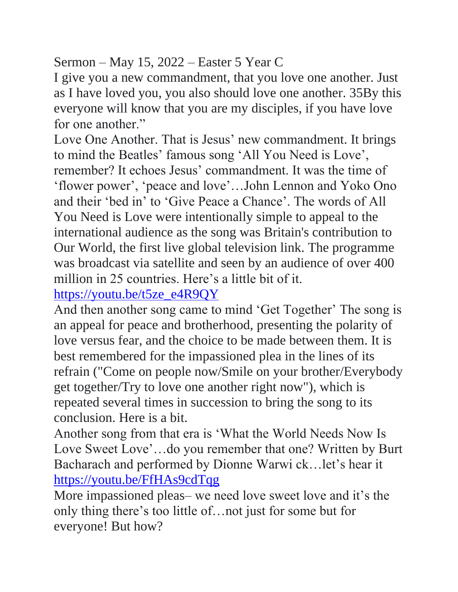Sermon – May 15, 2022 – Easter 5 Year C

I give you a new commandment, that you love one another. Just as I have loved you, you also should love one another. 35By this everyone will know that you are my disciples, if you have love for one another."

Love One Another. That is Jesus' new commandment. It brings to mind the Beatles' famous song 'All You Need is Love', remember? It echoes Jesus' commandment. It was the time of 'flower power', 'peace and love'…John Lennon and Yoko Ono and their 'bed in' to 'Give Peace a Chance'. The words of All You Need is Love were intentionally simple to appeal to the international audience as the song was Britain's contribution to Our World, the first live global television link. The programme was broadcast via satellite and seen by an audience of over 400 million in 25 countries. Here's a little bit of it.

[https://youtu.be/t5ze\\_e4R9QY](https://youtu.be/t5ze_e4R9QY)

And then another song came to mind 'Get Together' The song is an appeal for peace and brotherhood, presenting the polarity of love versus fear, and the choice to be made between them. It is best remembered for the impassioned plea in the lines of its refrain ("Come on people now/Smile on your brother/Everybody get together/Try to love one another right now"), which is repeated several times in succession to bring the song to its conclusion. Here is a bit.

Another song from that era is 'What the World Needs Now Is Love Sweet Love'…do you remember that one? Written by Burt Bacharach and performed by Dionne Warwi ck…let's hear it <https://youtu.be/FfHAs9cdTqg>

More impassioned pleas– we need love sweet love and it's the only thing there's too little of…not just for some but for everyone! But how?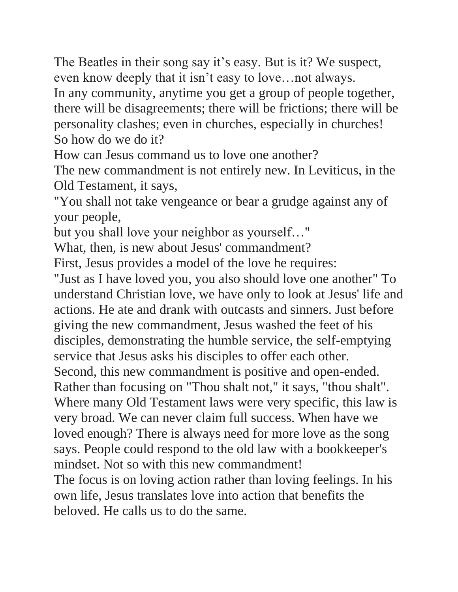The Beatles in their song say it's easy. But is it? We suspect, even know deeply that it isn't easy to love…not always.

In any community, anytime you get a group of people together, there will be disagreements; there will be frictions; there will be personality clashes; even in churches, especially in churches! So how do we do it?

How can Jesus command us to love one another?

The new commandment is not entirely new. In Leviticus, in the Old Testament, it says,

"You shall not take vengeance or bear a grudge against any of your people,

but you shall love your neighbor as yourself…"

What, then, is new about Jesus' commandment?

First, Jesus provides a model of the love he requires:

"Just as I have loved you, you also should love one another" To understand Christian love, we have only to look at Jesus' life and actions. He ate and drank with outcasts and sinners. Just before giving the new commandment, Jesus washed the feet of his disciples, demonstrating the humble service, the self-emptying service that Jesus asks his disciples to offer each other. Second, this new commandment is positive and open-ended. Rather than focusing on "Thou shalt not," it says, "thou shalt". Where many Old Testament laws were very specific, this law is very broad. We can never claim full success. When have we loved enough? There is always need for more love as the song says. People could respond to the old law with a bookkeeper's mindset. Not so with this new commandment!

The focus is on loving action rather than loving feelings. In his own life, Jesus translates love into action that benefits the beloved. He calls us to do the same.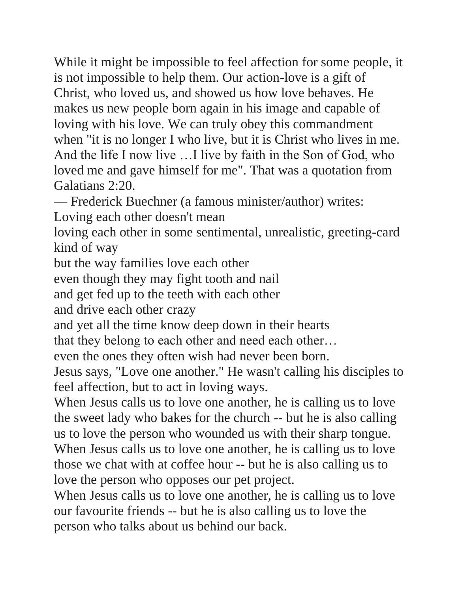While it might be impossible to feel affection for some people, it is not impossible to help them. Our action-love is a gift of Christ, who loved us, and showed us how love behaves. He makes us new people born again in his image and capable of loving with his love. We can truly obey this commandment when "it is no longer I who live, but it is Christ who lives in me. And the life I now live …I live by faith in the Son of God, who loved me and gave himself for me". That was a quotation from Galatians 2:20.

–– Frederick Buechner (a famous minister/author) writes:

Loving each other doesn't mean

loving each other in some sentimental, unrealistic, greeting-card kind of way

but the way families love each other

even though they may fight tooth and nail

and get fed up to the teeth with each other

and drive each other crazy

and yet all the time know deep down in their hearts

that they belong to each other and need each other…

even the ones they often wish had never been born.

Jesus says, "Love one another." He wasn't calling his disciples to feel affection, but to act in loving ways.

When Jesus calls us to love one another, he is calling us to love the sweet lady who bakes for the church -- but he is also calling us to love the person who wounded us with their sharp tongue. When Jesus calls us to love one another, he is calling us to love those we chat with at coffee hour -- but he is also calling us to love the person who opposes our pet project.

When Jesus calls us to love one another, he is calling us to love our favourite friends -- but he is also calling us to love the person who talks about us behind our back.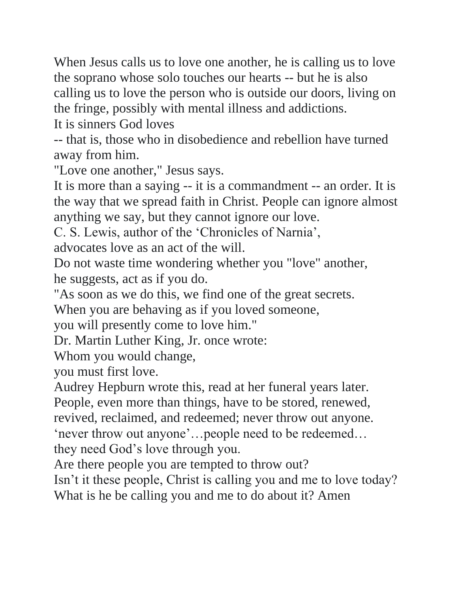When Jesus calls us to love one another, he is calling us to love the soprano whose solo touches our hearts -- but he is also calling us to love the person who is outside our doors, living on the fringe, possibly with mental illness and addictions.

It is sinners God loves

-- that is, those who in disobedience and rebellion have turned away from him.

"Love one another," Jesus says.

It is more than a saying -- it is a commandment -- an order. It is the way that we spread faith in Christ. People can ignore almost anything we say, but they cannot ignore our love.

C. S. Lewis, author of the 'Chronicles of Narnia',

advocates love as an act of the will.

Do not waste time wondering whether you "love" another, he suggests, act as if you do.

"As soon as we do this, we find one of the great secrets.

When you are behaving as if you loved someone,

you will presently come to love him."

Dr. Martin Luther King, Jr. once wrote:

Whom you would change,

you must first love.

Audrey Hepburn wrote this, read at her funeral years later.

People, even more than things, have to be stored, renewed,

revived, reclaimed, and redeemed; never throw out anyone.

'never throw out anyone'…people need to be redeemed…

they need God's love through you.

Are there people you are tempted to throw out?

Isn't it these people, Christ is calling you and me to love today? What is he be calling you and me to do about it? Amen